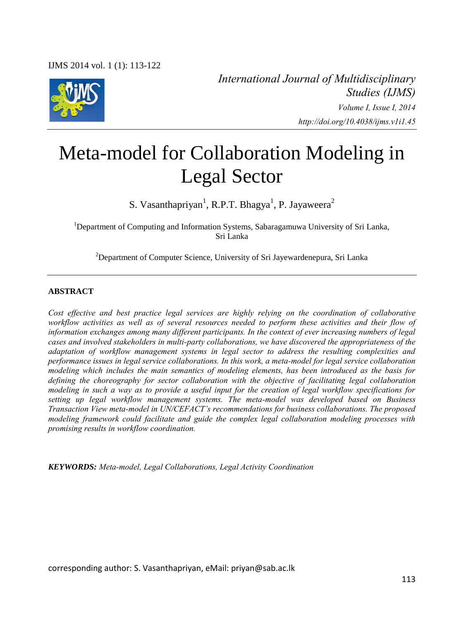

*International Journal of Multidisciplinary Studies (IJMS) Volume I, Issue I, 2014*

 *http://doi.org/10.4038/ijms.v1i1.45* 

# Meta-model for Collaboration Modeling in Legal Sector

S. Vasanthapriyan<sup>1</sup>, R.P.T. Bhagya<sup>1</sup>, P. Jayaweera<sup>2</sup>

<sup>1</sup>Department of Computing and Information Systems, Sabaragamuwa University of Sri Lanka, Sri Lanka

 $2$ Department of Computer Science, University of Sri Jayewardenepura, Sri Lanka

#### **ABSTRACT**

*Cost effective and best practice legal services are highly relying on the coordination of collaborative workflow activities as well as of several resources needed to perform these activities and their flow of information exchanges among many different participants. In the context of ever increasing numbers of legal cases and involved stakeholders in multi-party collaborations, we have discovered the appropriateness of the adaptation of workflow management systems in legal sector to address the resulting complexities and performance issues in legal service collaborations. In this work, a meta-model for legal service collaboration modeling which includes the main semantics of modeling elements, has been introduced as the basis for defining the choreography for sector collaboration with the objective of facilitating legal collaboration modeling in such a way as to provide a useful input for the creation of legal workflow specifications for setting up legal workflow management systems. The meta-model was developed based on Business Transaction View meta-model in UN/CEFACT's recommendations for business collaborations. The proposed modeling framework could facilitate and guide the complex legal collaboration modeling processes with promising results in workflow coordination.* 

*KEYWORDS: Meta-model, Legal Collaborations, Legal Activity Coordination* 

corresponding author: S. Vasanthapriyan, eMail: priyan@sab.ac.lk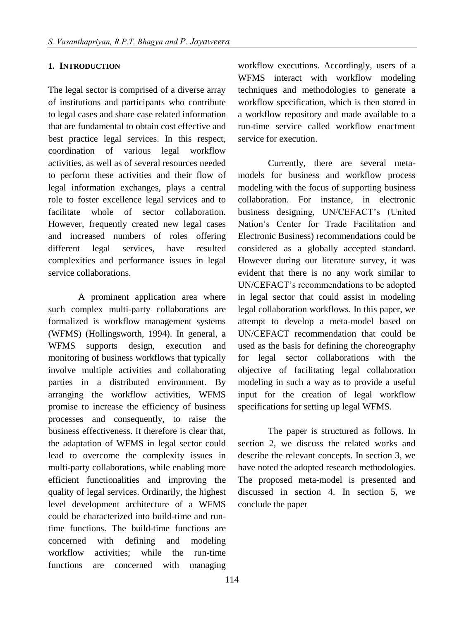#### **1. INTRODUCTION**

The legal sector is comprised of a diverse array of institutions and participants who contribute to legal cases and share case related information that are fundamental to obtain cost effective and best practice legal services. In this respect, coordination of various legal workflow activities, as well as of several resources needed to perform these activities and their flow of legal information exchanges, plays a central role to foster excellence legal services and to facilitate whole of sector collaboration. However, frequently created new legal cases and increased numbers of roles offering different legal services, have resulted complexities and performance issues in legal service collaborations.

A prominent application area where such complex multi-party collaborations are formalized is workflow management systems (WFMS) (Hollingsworth, 1994). In general, a WFMS supports design, execution and monitoring of business workflows that typically involve multiple activities and collaborating parties in a distributed environment. By arranging the workflow activities, WFMS promise to increase the efficiency of business processes and consequently, to raise the business effectiveness. It therefore is clear that, the adaptation of WFMS in legal sector could lead to overcome the complexity issues in multi-party collaborations, while enabling more efficient functionalities and improving the quality of legal services. Ordinarily, the highest level development architecture of a WFMS could be characterized into build-time and runtime functions. The build-time functions are concerned with defining and modeling workflow activities; while the run-time functions are concerned with managing

workflow executions. Accordingly, users of a WFMS interact with workflow modeling techniques and methodologies to generate a workflow specification, which is then stored in a workflow repository and made available to a run-time service called workflow enactment service for execution.

Currently, there are several metamodels for business and workflow process modeling with the focus of supporting business collaboration. For instance, in electronic business designing, UN/CEFACT's (United Nation's Center for Trade Facilitation and Electronic Business) recommendations could be considered as a globally accepted standard. However during our literature survey, it was evident that there is no any work similar to UN/CEFACT's recommendations to be adopted in legal sector that could assist in modeling legal collaboration workflows. In this paper, we attempt to develop a meta-model based on UN/CEFACT recommendation that could be used as the basis for defining the choreography for legal sector collaborations with the objective of facilitating legal collaboration modeling in such a way as to provide a useful input for the creation of legal workflow specifications for setting up legal WFMS.

The paper is structured as follows. In section 2, we discuss the related works and describe the relevant concepts. In section 3, we have noted the adopted research methodologies. The proposed meta-model is presented and discussed in section 4. In section 5, we conclude the paper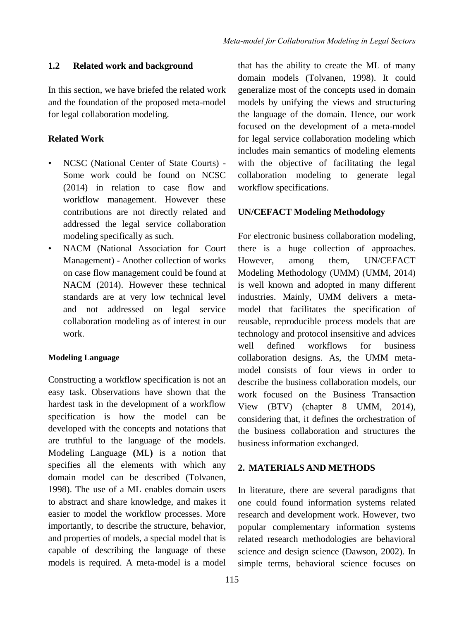# **1.2 Related work and background**

In this section, we have briefed the related work and the foundation of the proposed meta-model for legal collaboration modeling.

## **Related Work**

- NCSC (National Center of State Courts) Some work could be found on NCSC (2014) in relation to case flow and workflow management. However these contributions are not directly related and addressed the legal service collaboration modeling specifically as such.
- NACM (National Association for Court Management) - Another collection of works on case flow management could be found at NACM (2014). However these technical standards are at very low technical level and not addressed on legal service collaboration modeling as of interest in our work.

## **Modeling Language**

Constructing a workflow specification is not an easy task. Observations have shown that the hardest task in the development of a workflow specification is how the model can be developed with the concepts and notations that are truthful to the language of the models. Modeling Language **(**ML**)** is a notion that specifies all the elements with which any domain model can be described (Tolvanen, 1998). The use of a ML enables domain users to abstract and share knowledge, and makes it easier to model the workflow processes. More importantly, to describe the structure, behavior, and properties of models, a special model that is capable of describing the language of these models is required. A meta-model is a model

that has the ability to create the ML of many domain models (Tolvanen, 1998). It could generalize most of the concepts used in domain models by unifying the views and structuring the language of the domain. Hence, our work focused on the development of a meta-model for legal service collaboration modeling which includes main semantics of modeling elements with the objective of facilitating the legal collaboration modeling to generate legal workflow specifications.

## **UN/CEFACT Modeling Methodology**

For electronic business collaboration modeling, there is a huge collection of approaches. However, among them, UN/CEFACT Modeling Methodology (UMM) (UMM, 2014) is well known and adopted in many different industries. Mainly, UMM delivers a metamodel that facilitates the specification of reusable, reproducible process models that are technology and protocol insensitive and advices well defined workflows for business collaboration designs. As, the UMM metamodel consists of four views in order to describe the business collaboration models, our work focused on the Business Transaction View (BTV) (chapter 8 UMM, 2014), considering that, it defines the orchestration of the business collaboration and structures the business information exchanged.

## **2. MATERIALS AND METHODS**

In literature, there are several paradigms that one could found information systems related research and development work. However, two popular complementary information systems related research methodologies are behavioral science and design science (Dawson, 2002). In simple terms, behavioral science focuses on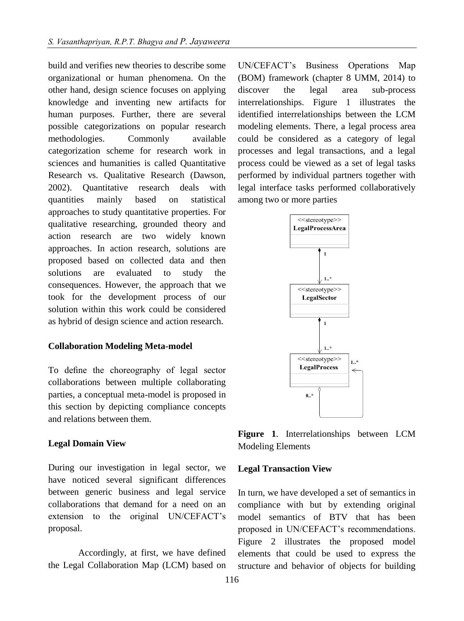build and verifies new theories to describe some organizational or human phenomena. On the other hand, design science focuses on applying knowledge and inventing new artifacts for human purposes. Further, there are several possible categorizations on popular research methodologies. Commonly available categorization scheme for research work in sciences and humanities is called Quantitative Research vs. Qualitative Research (Dawson, 2002). Quantitative research deals with quantities mainly based on statistical approaches to study quantitative properties. For qualitative researching, grounded theory and action research are two widely known approaches. In action research, solutions are proposed based on collected data and then solutions are evaluated to study the consequences. However, the approach that we took for the development process of our solution within this work could be considered as hybrid of design science and action research.

#### **Collaboration Modeling Meta-model**

To define the choreography of legal sector collaborations between multiple collaborating parties, a conceptual meta-model is proposed in this section by depicting compliance concepts and relations between them.

#### **Legal Domain View**

During our investigation in legal sector, we have noticed several significant differences between generic business and legal service collaborations that demand for a need on an extension to the original UN/CEFACT's proposal.

Accordingly, at first, we have defined the Legal Collaboration Map (LCM) based on UN/CEFACT's Business Operations Map (BOM) framework (chapter 8 UMM, 2014) to discover the legal area sub-process interrelationships. Figure 1 illustrates the identified interrelationships between the LCM modeling elements. There, a legal process area could be considered as a category of legal processes and legal transactions, and a legal process could be viewed as a set of legal tasks performed by individual partners together with legal interface tasks performed collaboratively among two or more parties



**Figure 1**. Interrelationships between LCM Modeling Elements

#### **Legal Transaction View**

In turn, we have developed a set of semantics in compliance with but by extending original model semantics of BTV that has been proposed in UN/CEFACT's recommendations. Figure 2 illustrates the proposed model elements that could be used to express the structure and behavior of objects for building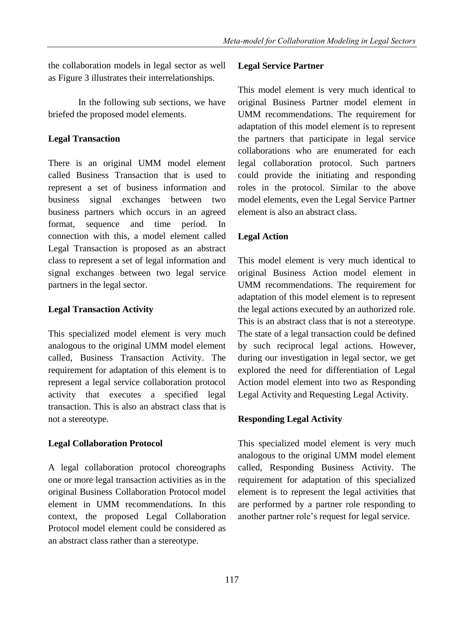the collaboration models in legal sector as well as Figure 3 illustrates their interrelationships.

In the following sub sections, we have briefed the proposed model elements.

# **Legal Transaction**

There is an original UMM model element called Business Transaction that is used to represent a set of business information and business signal exchanges between two business partners which occurs in an agreed format, sequence and time period. In connection with this, a model element called Legal Transaction is proposed as an abstract class to represent a set of legal information and signal exchanges between two legal service partners in the legal sector.

# **Legal Transaction Activity**

This specialized model element is very much analogous to the original UMM model element called, Business Transaction Activity. The requirement for adaptation of this element is to represent a legal service collaboration protocol activity that executes a specified legal transaction. This is also an abstract class that is not a stereotype.

# **Legal Collaboration Protocol**

A legal collaboration protocol choreographs one or more legal transaction activities as in the original Business Collaboration Protocol model element in UMM recommendations. In this context, the proposed Legal Collaboration Protocol model element could be considered as an abstract class rather than a stereotype.

# **Legal Service Partner**

This model element is very much identical to original Business Partner model element in UMM recommendations. The requirement for adaptation of this model element is to represent the partners that participate in legal service collaborations who are enumerated for each legal collaboration protocol. Such partners could provide the initiating and responding roles in the protocol. Similar to the above model elements, even the Legal Service Partner element is also an abstract class.

# **Legal Action**

This model element is very much identical to original Business Action model element in UMM recommendations. The requirement for adaptation of this model element is to represent the legal actions executed by an authorized role. This is an abstract class that is not a stereotype. The state of a legal transaction could be defined by such reciprocal legal actions. However, during our investigation in legal sector, we get explored the need for differentiation of Legal Action model element into two as Responding Legal Activity and Requesting Legal Activity.

# **Responding Legal Activity**

This specialized model element is very much analogous to the original UMM model element called, Responding Business Activity. The requirement for adaptation of this specialized element is to represent the legal activities that are performed by a partner role responding to another partner role's request for legal service.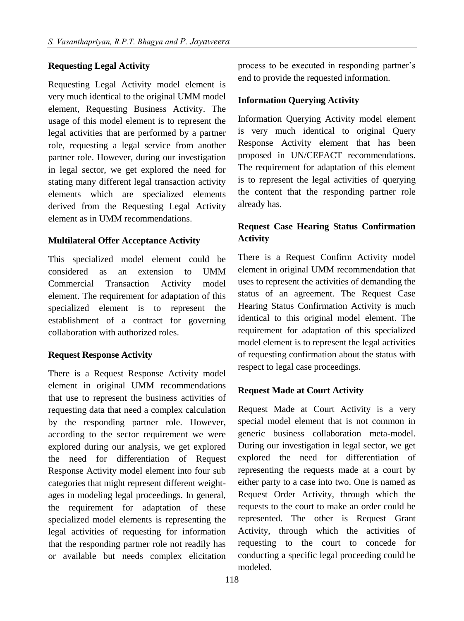# **Requesting Legal Activity**

Requesting Legal Activity model element is very much identical to the original UMM model element, Requesting Business Activity. The usage of this model element is to represent the legal activities that are performed by a partner role, requesting a legal service from another partner role. However, during our investigation in legal sector, we get explored the need for stating many different legal transaction activity elements which are specialized elements derived from the Requesting Legal Activity element as in UMM recommendations.

#### **Multilateral Offer Acceptance Activity**

This specialized model element could be considered as an extension to UMM Commercial Transaction Activity model element. The requirement for adaptation of this specialized element is to represent the establishment of a contract for governing collaboration with authorized roles.

## **Request Response Activity**

There is a Request Response Activity model element in original UMM recommendations that use to represent the business activities of requesting data that need a complex calculation by the responding partner role. However, according to the sector requirement we were explored during our analysis, we get explored the need for differentiation of Request Response Activity model element into four sub categories that might represent different weightages in modeling legal proceedings. In general, the requirement for adaptation of these specialized model elements is representing the legal activities of requesting for information that the responding partner role not readily has or available but needs complex elicitation

process to be executed in responding partner's end to provide the requested information.

# **Information Querying Activity**

Information Querying Activity model element is very much identical to original Query Response Activity element that has been proposed in UN/CEFACT recommendations. The requirement for adaptation of this element is to represent the legal activities of querying the content that the responding partner role already has.

# **Request Case Hearing Status Confirmation Activity**

There is a Request Confirm Activity model element in original UMM recommendation that uses to represent the activities of demanding the status of an agreement. The Request Case Hearing Status Confirmation Activity is much identical to this original model element. The requirement for adaptation of this specialized model element is to represent the legal activities of requesting confirmation about the status with respect to legal case proceedings.

# **Request Made at Court Activity**

Request Made at Court Activity is a very special model element that is not common in generic business collaboration meta-model. During our investigation in legal sector, we get explored the need for differentiation of representing the requests made at a court by either party to a case into two. One is named as Request Order Activity, through which the requests to the court to make an order could be represented. The other is Request Grant Activity, through which the activities of requesting to the court to concede for conducting a specific legal proceeding could be modeled.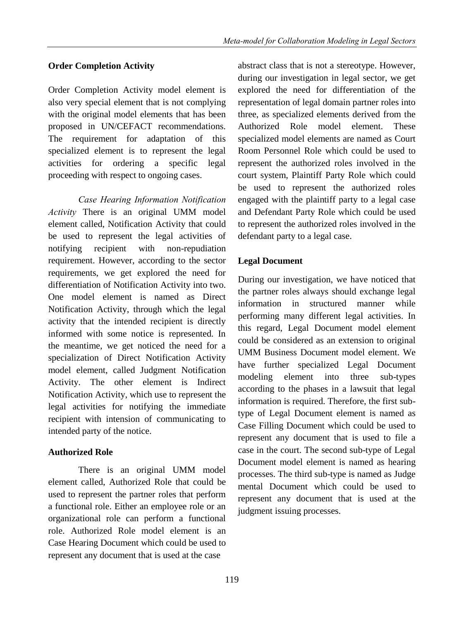# **Order Completion Activity**

Order Completion Activity model element is also very special element that is not complying with the original model elements that has been proposed in UN/CEFACT recommendations. The requirement for adaptation of this specialized element is to represent the legal activities for ordering a specific legal proceeding with respect to ongoing cases.

*Case Hearing Information Notification Activity* There is an original UMM model element called, Notification Activity that could be used to represent the legal activities of notifying recipient with non-repudiation requirement. However, according to the sector requirements, we get explored the need for differentiation of Notification Activity into two. One model element is named as Direct Notification Activity, through which the legal activity that the intended recipient is directly informed with some notice is represented. In the meantime, we get noticed the need for a specialization of Direct Notification Activity model element, called Judgment Notification Activity. The other element is Indirect Notification Activity, which use to represent the legal activities for notifying the immediate recipient with intension of communicating to intended party of the notice.

# **Authorized Role**

There is an original UMM model element called, Authorized Role that could be used to represent the partner roles that perform a functional role. Either an employee role or an organizational role can perform a functional role. Authorized Role model element is an Case Hearing Document which could be used to represent any document that is used at the case

abstract class that is not a stereotype. However, during our investigation in legal sector, we get explored the need for differentiation of the representation of legal domain partner roles into three, as specialized elements derived from the Authorized Role model element. These specialized model elements are named as Court Room Personnel Role which could be used to represent the authorized roles involved in the court system, Plaintiff Party Role which could be used to represent the authorized roles engaged with the plaintiff party to a legal case and Defendant Party Role which could be used to represent the authorized roles involved in the defendant party to a legal case.

# **Legal Document**

During our investigation, we have noticed that the partner roles always should exchange legal information in structured manner while performing many different legal activities. In this regard, Legal Document model element could be considered as an extension to original UMM Business Document model element. We have further specialized Legal Document modeling element into three sub-types according to the phases in a lawsuit that legal information is required. Therefore, the first subtype of Legal Document element is named as Case Filling Document which could be used to represent any document that is used to file a case in the court. The second sub-type of Legal Document model element is named as hearing processes. The third sub-type is named as Judge mental Document which could be used to represent any document that is used at the judgment issuing processes.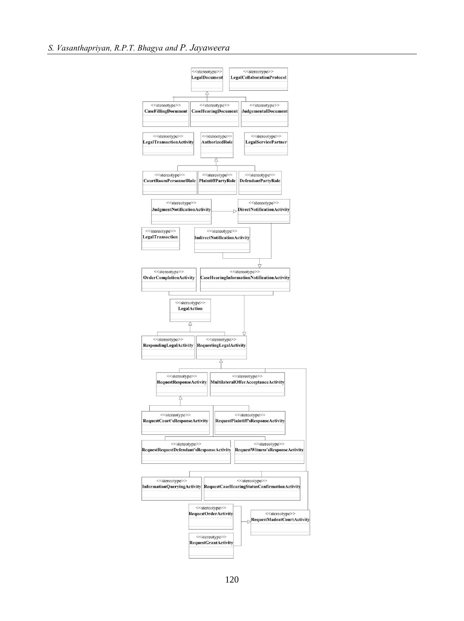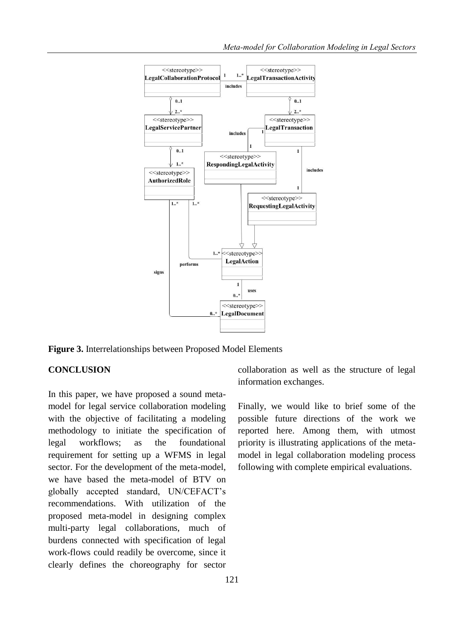

**Figure 3.** Interrelationships between Proposed Model Elements

# **CONCLUSION**

In this paper, we have proposed a sound metamodel for legal service collaboration modeling with the objective of facilitating a modeling methodology to initiate the specification of legal workflows; as the foundational requirement for setting up a WFMS in legal sector. For the development of the meta-model, we have based the meta-model of BTV on globally accepted standard, UN/CEFACT's recommendations. With utilization of the proposed meta-model in designing complex multi-party legal collaborations, much of burdens connected with specification of legal work-flows could readily be overcome, since it clearly defines the choreography for sector

collaboration as well as the structure of legal information exchanges.

Finally, we would like to brief some of the possible future directions of the work we reported here. Among them, with utmost priority is illustrating applications of the metamodel in legal collaboration modeling process following with complete empirical evaluations.